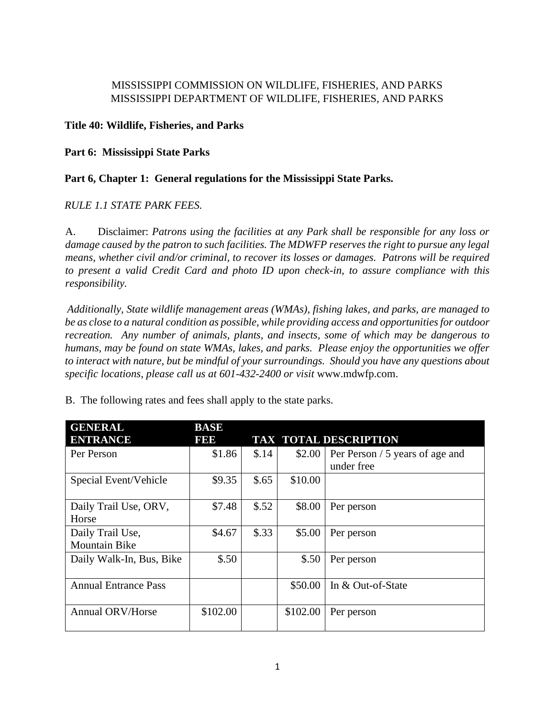## MISSISSIPPI COMMISSION ON WILDLIFE, FISHERIES, AND PARKS MISSISSIPPI DEPARTMENT OF WILDLIFE, FISHERIES, AND PARKS

## **Title 40: Wildlife, Fisheries, and Parks**

## **Part 6: Mississippi State Parks**

## **Part 6, Chapter 1: General regulations for the Mississippi State Parks.**

## *RULE 1.1 STATE PARK FEES.*

A. Disclaimer: *Patrons using the facilities at any Park shall be responsible for any loss or damage caused by the patron to such facilities. The MDWFP reserves the right to pursue any legal means, whether civil and/or criminal, to recover its losses or damages. Patrons will be required to present a valid Credit Card and photo ID upon check-in, to assure compliance with this responsibility.* 

*Additionally, State wildlife management areas (WMAs), fishing lakes, and parks, are managed to be as close to a natural condition as possible, while providing access and opportunities for outdoor recreation. Any number of animals, plants, and insects, some of which may be dangerous to humans, may be found on state WMAs, lakes, and parks. Please enjoy the opportunities we offer to interact with nature, but be mindful of your surroundings. Should you have any questions about specific locations, please call us at 601-432-2400 or visit* www.mdwfp.com.

| <b>GENERAL</b>              | <b>BASE</b> |       |          |                                 |
|-----------------------------|-------------|-------|----------|---------------------------------|
| <b>ENTRANCE</b>             | 1999        |       |          | <b>TAX TOTAL DESCRIPTION</b>    |
| Per Person                  | \$1.86      | \$.14 | \$2.00   | Per Person / 5 years of age and |
|                             |             |       |          | under free                      |
| Special Event/Vehicle       | \$9.35      | \$.65 | \$10.00  |                                 |
|                             |             |       |          |                                 |
| Daily Trail Use, ORV,       | \$7.48      | \$.52 | \$8.00   | Per person                      |
| Horse                       |             |       |          |                                 |
| Daily Trail Use,            | \$4.67      | \$.33 | \$5.00   | Per person                      |
| <b>Mountain Bike</b>        |             |       |          |                                 |
| Daily Walk-In, Bus, Bike    | \$.50       |       | \$.50    | Per person                      |
|                             |             |       |          |                                 |
| <b>Annual Entrance Pass</b> |             |       | \$50.00  | In & Out-of-State               |
|                             |             |       |          |                                 |
| <b>Annual ORV/Horse</b>     | \$102.00    |       | \$102.00 | Per person                      |
|                             |             |       |          |                                 |

B. The following rates and fees shall apply to the state parks.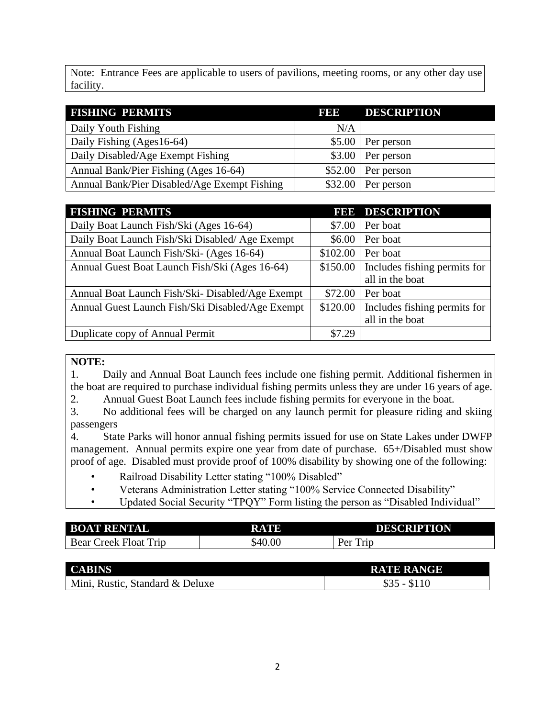Note: Entrance Fees are applicable to users of pavilions, meeting rooms, or any other day use facility.

| <b>FISHING PERMITS</b>                       | <b>BBB</b> | <b>DESCRIPTION</b> |
|----------------------------------------------|------------|--------------------|
| Daily Youth Fishing                          | N/A        |                    |
| Daily Fishing (Ages16-64)                    | \$5.00     | Per person         |
| Daily Disabled/Age Exempt Fishing            | \$3.00     | Per person         |
| Annual Bank/Pier Fishing (Ages 16-64)        | \$52.00    | Per person         |
| Annual Bank/Pier Disabled/Age Exempt Fishing | \$32.00    | Per person         |

| <b>FISHING PERMITS</b>                           |          | <b>FEE DESCRIPTION</b>       |
|--------------------------------------------------|----------|------------------------------|
| Daily Boat Launch Fish/Ski (Ages 16-64)          | \$7.00   | Per boat                     |
| Daily Boat Launch Fish/Ski Disabled/ Age Exempt  | \$6.00   | Per boat                     |
| Annual Boat Launch Fish/Ski- (Ages 16-64)        | \$102.00 | Per boat                     |
| Annual Guest Boat Launch Fish/Ski (Ages 16-64)   | \$150.00 | Includes fishing permits for |
|                                                  |          | all in the boat              |
| Annual Boat Launch Fish/Ski-Disabled/Age Exempt  | \$72.00  | Per boat                     |
| Annual Guest Launch Fish/Ski Disabled/Age Exempt | \$120.00 | Includes fishing permits for |
|                                                  |          | all in the boat              |
| Duplicate copy of Annual Permit                  | \$7.29   |                              |

#### **NOTE:**

1. Daily and Annual Boat Launch fees include one fishing permit. Additional fishermen in the boat are required to purchase individual fishing permits unless they are under 16 years of age. 2. Annual Guest Boat Launch fees include fishing permits for everyone in the boat.

3. No additional fees will be charged on any launch permit for pleasure riding and skiing passengers

4. State Parks will honor annual fishing permits issued for use on State Lakes under DWFP management. Annual permits expire one year from date of purchase. 65+/Disabled must show proof of age. Disabled must provide proof of 100% disability by showing one of the following:

- Railroad Disability Letter stating "100% Disabled"
- Veterans Administration Letter stating "100% Service Connected Disability"

• Updated Social Security "TPQY" Form listing the person as "Disabled Individual"

| <b>BOAT RENTAL</b>         | RATE    | <b>DESCRIPTION</b>        |
|----------------------------|---------|---------------------------|
| Trip<br>Bear<br>reek Float | \$40.00 | $P_{\rm PT}$<br>Trip<br>◡ |

| <b>CABINS</b>                   | <b>RATE RANGE</b> |
|---------------------------------|-------------------|
| Mini, Rustic, Standard & Deluxe | $$35 - $110$      |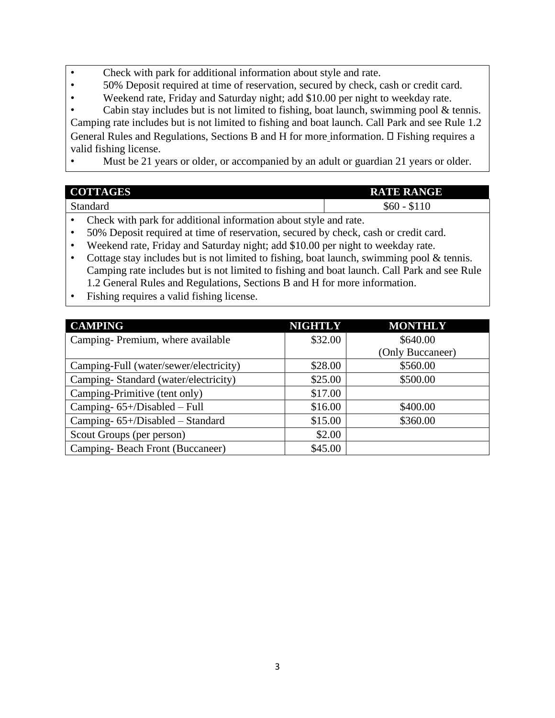- Check with park for additional information about style and rate.
- 50% Deposit required at time of reservation, secured by check, cash or credit card.
- Weekend rate, Friday and Saturday night; add \$10.00 per night to weekday rate.

Cabin stay includes but is not limited to fishing, boat launch, swimming pool  $&$  tennis. Camping rate includes but is not limited to fishing and boat launch. Call Park and see Rule 1.2 General Rules and Regulations, Sections B and H for more information.  $\Box$  Fishing requires a valid fishing license.

Must be 21 years or older, or accompanied by an adult or guardian 21 years or older.

| <b>COTTAGES</b> | <b>RATE RANGE</b>               |
|-----------------|---------------------------------|
| Standard        | \$60<br>\$110<br>$\overline{a}$ |

- Check with park for additional information about style and rate.
- 50% Deposit required at time of reservation, secured by check, cash or credit card.
- Weekend rate, Friday and Saturday night; add \$10.00 per night to weekday rate.
- Cottage stay includes but is not limited to fishing, boat launch, swimming pool & tennis. Camping rate includes but is not limited to fishing and boat launch. Call Park and see Rule 1.2 General Rules and Regulations, Sections B and H for more information.
- Fishing requires a valid fishing license.

| <b>CAMPING</b>                         | <b>NIGHTLY</b> | <b>MONTHLY</b>   |
|----------------------------------------|----------------|------------------|
| Camping-Premium, where available       | \$32.00        | \$640.00         |
|                                        |                | (Only Buccaneer) |
| Camping-Full (water/sewer/electricity) | \$28.00        | \$560.00         |
| Camping-Standard (water/electricity)   | \$25.00        | \$500.00         |
| Camping-Primitive (tent only)          | \$17.00        |                  |
| Camping-65+/Disabled - Full            | \$16.00        | \$400.00         |
| Camping- 65+/Disabled – Standard       | \$15.00        | \$360.00         |
| Scout Groups (per person)              | \$2.00         |                  |
| Camping-Beach Front (Buccaneer)        | \$45.00        |                  |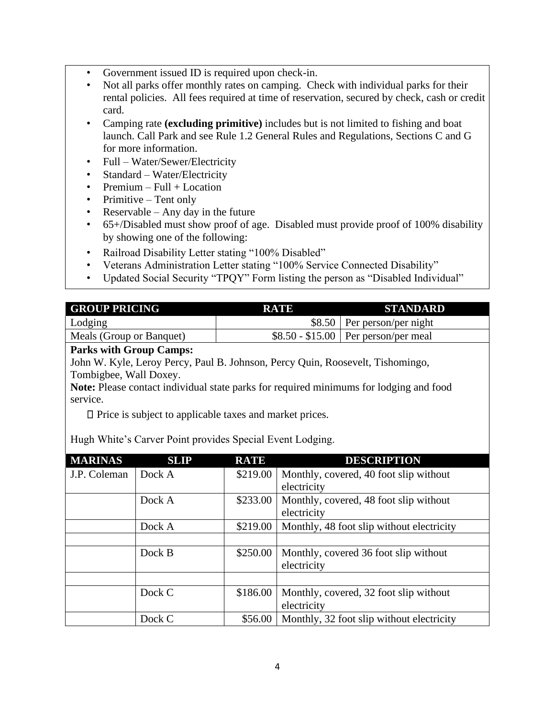- Government issued ID is required upon check-in.
- Not all parks offer monthly rates on camping. Check with individual parks for their rental policies. All fees required at time of reservation, secured by check, cash or credit card.
- Camping rate **(excluding primitive)** includes but is not limited to fishing and boat launch. Call Park and see Rule 1.2 General Rules and Regulations, Sections C and G for more information.
- Full Water/Sewer/Electricity
- Standard Water/Electricity
- $Premium Full + Location$
- Primitive Tent only
- Reservable Any day in the future
- 65+/Disabled must show proof of age. Disabled must provide proof of 100% disability by showing one of the following:
- Railroad Disability Letter stating "100% Disabled"
- Veterans Administration Letter stating "100% Service Connected Disability"
- Updated Social Security "TPQY" Form listing the person as "Disabled Individual"

| <b>GROUP PRICING</b>     | RATE | STANDARD                             |
|--------------------------|------|--------------------------------------|
| Lodging                  |      | $$8.50$ Per person/per night         |
| Meals (Group or Banquet) |      | $$8.50 - $15.00$ Per person/per meal |

## **Parks with Group Camps:**

John W. Kyle, Leroy Percy, Paul B. Johnson, Percy Quin, Roosevelt, Tishomingo, Tombigbee, Wall Doxey.

**Note:** Please contact individual state parks for required minimums for lodging and food service.

 $\Box$  Price is subject to applicable taxes and market prices.

Hugh White's Carver Point provides Special Event Lodging.

| <b>MARINAS</b> | <b>SLIP</b> | <b>RATE</b> | <b>DESCRIPTION</b>                        |
|----------------|-------------|-------------|-------------------------------------------|
| J.P. Coleman   | Dock A      | \$219.00    | Monthly, covered, 40 foot slip without    |
|                |             |             | electricity                               |
|                | Dock A      | \$233.00    | Monthly, covered, 48 foot slip without    |
|                |             |             | electricity                               |
|                | Dock A      | \$219.00    | Monthly, 48 foot slip without electricity |
|                |             |             |                                           |
|                | Dock B      | \$250.00    | Monthly, covered 36 foot slip without     |
|                |             |             | electricity                               |
|                |             |             |                                           |
|                | Dock C      | \$186.00    | Monthly, covered, 32 foot slip without    |
|                |             |             | electricity                               |
|                | Dock C      | \$56.00     | Monthly, 32 foot slip without electricity |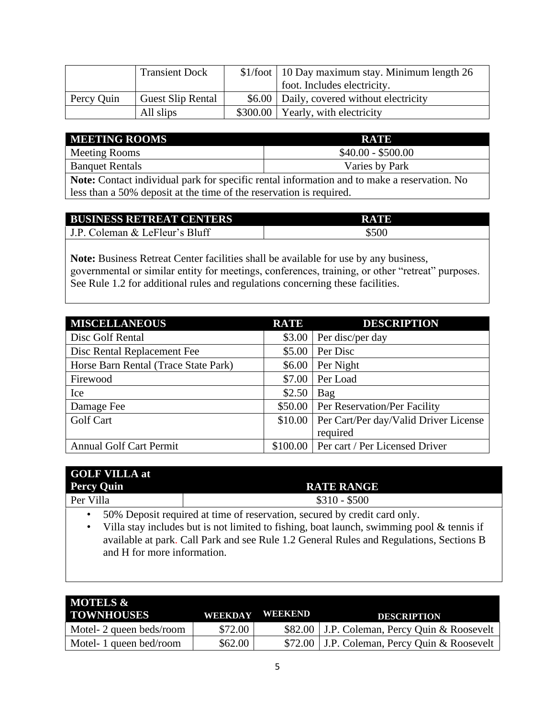|            | <b>Transient Dock</b>    | \$1/foot   10 Day maximum stay. Minimum length 26 |
|------------|--------------------------|---------------------------------------------------|
|            |                          | foot. Includes electricity.                       |
| Percy Quin | <b>Guest Slip Rental</b> | \$6.00   Daily, covered without electricity       |
|            | All slips                | $$300.00$   Yearly, with electricity              |

| <b>MEETING ROOMS</b>   | <b>RATE</b>        |
|------------------------|--------------------|
| Meeting Rooms          | $$40.00 - $500.00$ |
| <b>Banquet Rentals</b> | Varies by Park     |
|                        |                    |

**Note:** Contact individual park for specific rental information and to make a reservation. No less than a 50% deposit at the time of the reservation is required.

| <b>BUSINESS RETREAT CENTERS</b> | <b>RATE</b> |
|---------------------------------|-------------|
| J.P. Coleman & LeFleur's Bluff  | \$500       |

**Note:** Business Retreat Center facilities shall be available for use by any business, governmental or similar entity for meetings, conferences, training, or other "retreat" purposes. See Rule 1.2 for additional rules and regulations concerning these facilities.

| <b>MISCELLANEOUS</b>                 | <b>RATE</b> | <b>DESCRIPTION</b>                            |
|--------------------------------------|-------------|-----------------------------------------------|
| Disc Golf Rental                     |             | \$3.00 Per disc/per day                       |
| Disc Rental Replacement Fee          | \$5.00      | Per Disc                                      |
| Horse Barn Rental (Trace State Park) | \$6.00      | Per Night                                     |
| Firewood                             | \$7.00      | Per Load                                      |
| Ice                                  | \$2.50      | Bag                                           |
| Damage Fee                           |             | \$50.00 Per Reservation/Per Facility          |
| <b>Golf Cart</b>                     |             | \$10.00 Per Cart/Per day/Valid Driver License |
|                                      |             | required                                      |
| <b>Annual Golf Cart Permit</b>       |             | \$100.00 Per cart / Per Licensed Driver       |

| <b>GOLF VILLA at</b> |                                                                       |  |  |  |  |  |
|----------------------|-----------------------------------------------------------------------|--|--|--|--|--|
| <b>Percy Quin</b>    | <b>RATE RANGE</b>                                                     |  |  |  |  |  |
| Per Villa            | $$310 - $500$                                                         |  |  |  |  |  |
| $F \cap \mathbb{R}$  | $\mathbf{r}$ , and $\mathbf{r}$ , and $\mathbf{r}$ , and $\mathbf{r}$ |  |  |  |  |  |

• 50% Deposit required at time of reservation, secured by credit card only.

• Villa stay includes but is not limited to fishing, boat launch, swimming pool & tennis if available at park. Call Park and see Rule 1.2 General Rules and Regulations, Sections B and H for more information.

| <b>MOTELS &amp;</b><br><b>TOWNHOUSES</b> | <b>WEEKDAY</b> | WEEKEND | <b>DESCRIPTION</b>                             |
|------------------------------------------|----------------|---------|------------------------------------------------|
| Motel- 2 queen beds/room                 | \$72.00        |         | \$82.00   J.P. Coleman, Percy Quin & Roosevelt |
| Motel- 1 queen bed/room                  | \$62.00        |         | \$72.00   J.P. Coleman, Percy Quin & Roosevelt |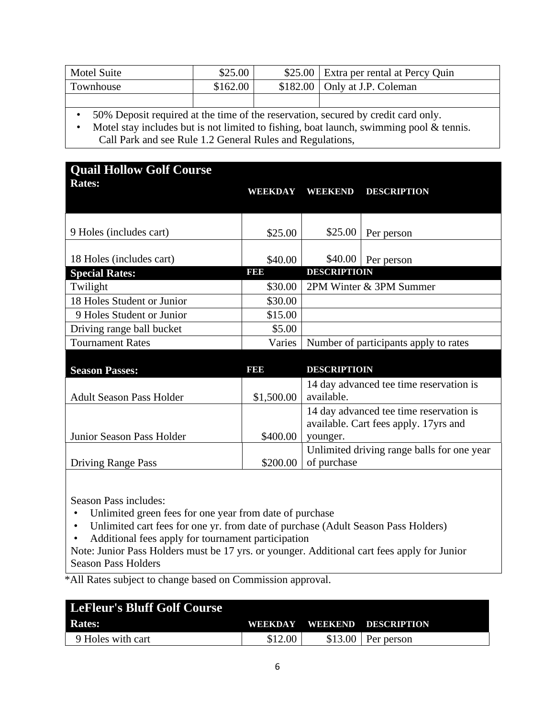| <b>Motel Suite</b> | \$25.00  | \$25.00 Extra per rental at Percy Quin |
|--------------------|----------|----------------------------------------|
| Townhouse          | \$162.00 | $$182.00$   Only at J.P. Coleman       |
|                    |          |                                        |

• 50% Deposit required at the time of the reservation, secured by credit card only.

• Motel stay includes but is not limited to fishing, boat launch, swimming pool & tennis. Call Park and see Rule 1.2 General Rules and Regulations,

| <b>Quail Hollow Golf Course</b> |            |                     |                                            |
|---------------------------------|------------|---------------------|--------------------------------------------|
| <b>Rates:</b>                   | WEEKDAY    | <b>WEEKEND</b>      | <b>DESCRIPTION</b>                         |
|                                 |            |                     |                                            |
| 9 Holes (includes cart)         | \$25.00    | \$25.00             | Per person                                 |
|                                 |            |                     |                                            |
| 18 Holes (includes cart)        | \$40.00    | \$40.00             | Per person                                 |
| <b>Special Rates:</b>           | <b>BB</b>  | <b>DESCRIPTIOIN</b> |                                            |
| Twilight                        | \$30.00    |                     | 2PM Winter & 3PM Summer                    |
| 18 Holes Student or Junior      | \$30.00    |                     |                                            |
| 9 Holes Student or Junior       | \$15.00    |                     |                                            |
| Driving range ball bucket       | \$5.00     |                     |                                            |
| <b>Tournament Rates</b>         | Varies     |                     | Number of participants apply to rates      |
|                                 |            |                     |                                            |
| <b>Season Passes:</b>           | 131313     | <b>DESCRIPTIOIN</b> |                                            |
|                                 |            |                     | 14 day advanced tee time reservation is    |
| <b>Adult Season Pass Holder</b> | \$1,500.00 | available.          |                                            |
|                                 |            |                     | 14 day advanced tee time reservation is    |
|                                 |            |                     | available. Cart fees apply. 17yrs and      |
| Junior Season Pass Holder       | \$400.00   | younger.            |                                            |
|                                 |            |                     | Unlimited driving range balls for one year |
| <b>Driving Range Pass</b>       | \$200.00   | of purchase         |                                            |

Season Pass includes:

- Unlimited green fees for one year from date of purchase
- Unlimited cart fees for one yr. from date of purchase (Adult Season Pass Holders)
- Additional fees apply for tournament participation

Note: Junior Pass Holders must be 17 yrs. or younger. Additional cart fees apply for Junior Season Pass Holders

\*All Rates subject to change based on Commission approval.

| LeFleur's Bluff Golf Course |                |                     |
|-----------------------------|----------------|---------------------|
| <b>Rates:</b>               | <b>WEEKDAY</b> | WEEKEND DESCRIPTION |
| 9 Holes with cart           | \$12.00        | $$13.00$ Per person |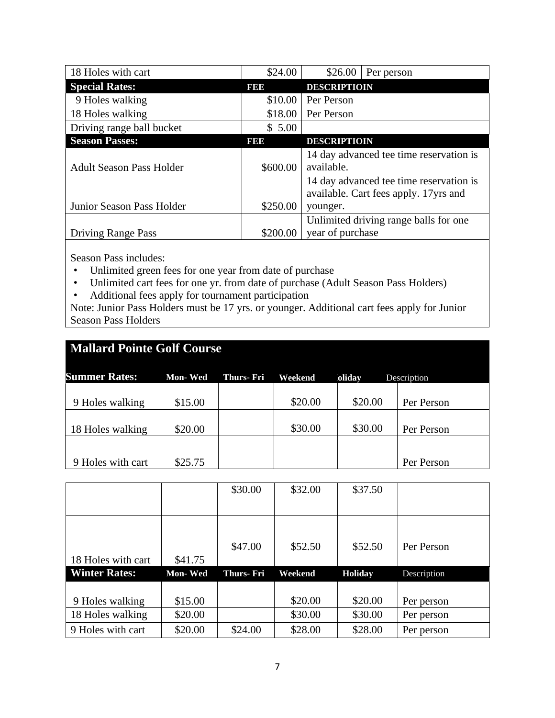| 18 Holes with cart              | \$24.00  | \$26.00<br>Per person                   |
|---------------------------------|----------|-----------------------------------------|
| <b>Special Rates:</b>           | 1999     | <b>DESCRIPTIOIN</b>                     |
| 9 Holes walking                 | \$10.00  | Per Person                              |
| 18 Holes walking                | \$18.00  | Per Person                              |
| Driving range ball bucket       | \$5.00   |                                         |
| <b>Season Passes:</b>           | 19319    | <b>DESCRIPTIOIN</b>                     |
|                                 |          | 14 day advanced tee time reservation is |
| <b>Adult Season Pass Holder</b> | \$600.00 | available.                              |
|                                 |          | 14 day advanced tee time reservation is |
|                                 |          | available. Cart fees apply. 17yrs and   |
| Junior Season Pass Holder       | \$250.00 | younger.                                |
|                                 |          | Unlimited driving range balls for one   |
| <b>Driving Range Pass</b>       | \$200.00 | year of purchase                        |

Season Pass includes:

- Unlimited green fees for one year from date of purchase
- Unlimited cart fees for one yr. from date of purchase (Adult Season Pass Holders)
- Additional fees apply for tournament participation

Note: Junior Pass Holders must be 17 yrs. or younger. Additional cart fees apply for Junior Season Pass Holders

| <b>Mallard Pointe Golf Course</b> |                |            |         |         |             |  |  |
|-----------------------------------|----------------|------------|---------|---------|-------------|--|--|
| <b>Summer Rates:</b>              | <b>Mon-Wed</b> | Thurs- Fri | Weekend | oliday  | Description |  |  |
| 9 Holes walking                   | \$15.00        |            | \$20.00 | \$20.00 | Per Person  |  |  |
| 18 Holes walking                  | \$20.00        |            | \$30.00 | \$30.00 | Per Person  |  |  |
|                                   |                |            |         |         |             |  |  |
| 9 Holes with cart                 | \$25.75        |            |         |         | Per Person  |  |  |

|                      |                | \$30.00          | \$32.00 | \$37.50        |             |
|----------------------|----------------|------------------|---------|----------------|-------------|
| 18 Holes with cart   | \$41.75        | \$47.00          | \$52.50 | \$52.50        | Per Person  |
| <b>Winter Rates:</b> | <b>Mon-Wed</b> | <b>Thurs-Fri</b> | Weekend | <b>Holiday</b> | Description |
|                      |                |                  |         |                |             |
| 9 Holes walking      | \$15.00        |                  | \$20.00 | \$20.00        | Per person  |
| 18 Holes walking     | \$20.00        |                  | \$30.00 | \$30.00        | Per person  |
| 9 Holes with cart    | \$20.00        | \$24.00          | \$28.00 | \$28.00        | Per person  |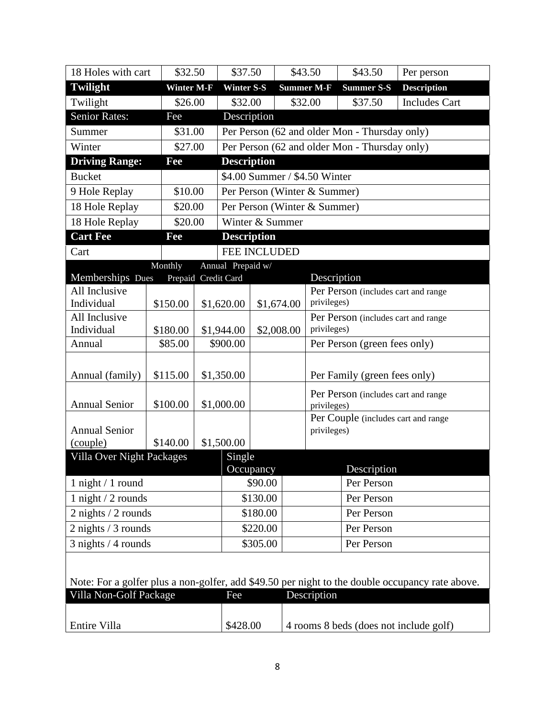| 18 Holes with cart                    | \$32.50           |                     | \$37.50                       | \$43.50 |                   | \$43.50                                       | Per person                                                                                      |
|---------------------------------------|-------------------|---------------------|-------------------------------|---------|-------------------|-----------------------------------------------|-------------------------------------------------------------------------------------------------|
| <b>Twilight</b>                       | <b>Winter M-F</b> | <b>Winter S-S</b>   |                               |         | <b>Summer M-F</b> | <b>Summer S-S</b>                             | <b>Description</b>                                                                              |
| Twilight                              | \$26.00           |                     | \$32.00                       |         | \$32.00           | \$37.50                                       | <b>Includes Cart</b>                                                                            |
| <b>Senior Rates:</b>                  | Fee               |                     | Description                   |         |                   |                                               |                                                                                                 |
| Summer                                | \$31.00           |                     |                               |         |                   | Per Person (62 and older Mon - Thursday only) |                                                                                                 |
| Winter                                | \$27.00           |                     |                               |         |                   | Per Person (62 and older Mon - Thursday only) |                                                                                                 |
| <b>Driving Range:</b>                 | Fee               |                     | <b>Description</b>            |         |                   |                                               |                                                                                                 |
| <b>Bucket</b>                         |                   |                     | \$4.00 Summer / \$4.50 Winter |         |                   |                                               |                                                                                                 |
| 9 Hole Replay                         | \$10.00           |                     | Per Person (Winter & Summer)  |         |                   |                                               |                                                                                                 |
| 18 Hole Replay                        | \$20.00           |                     | Per Person (Winter & Summer)  |         |                   |                                               |                                                                                                 |
| 18 Hole Replay                        | \$20.00           |                     | Winter & Summer               |         |                   |                                               |                                                                                                 |
| <b>Cart Fee</b>                       | Fee               |                     | <b>Description</b>            |         |                   |                                               |                                                                                                 |
| Cart                                  |                   |                     | <b>FEE INCLUDED</b>           |         |                   |                                               |                                                                                                 |
|                                       | Monthly           | Annual Prepaid w/   |                               |         |                   |                                               |                                                                                                 |
| Memberships Dues                      |                   | Prepaid Credit Card |                               |         | Description       |                                               |                                                                                                 |
| All Inclusive<br>Individual           | \$150.00          | \$1,620.00          | \$1,674.00                    |         | privileges)       | Per Person (includes cart and range           |                                                                                                 |
| All Inclusive                         |                   |                     |                               |         |                   | Per Person (includes cart and range           |                                                                                                 |
| Individual                            | \$180.00          | \$1,944.00          | \$2,008.00                    |         | privileges)       |                                               |                                                                                                 |
| Annual                                | \$85.00           | \$900.00            |                               |         |                   | Per Person (green fees only)                  |                                                                                                 |
|                                       |                   |                     |                               |         |                   |                                               |                                                                                                 |
| Annual (family)                       | \$115.00          | \$1,350.00          |                               |         |                   | Per Family (green fees only)                  |                                                                                                 |
|                                       |                   |                     |                               |         |                   | Per Person (includes cart and range           |                                                                                                 |
| <b>Annual Senior</b>                  | \$100.00          | \$1,000.00          |                               |         | privileges)       |                                               |                                                                                                 |
|                                       |                   |                     |                               |         |                   | Per Couple (includes cart and range           |                                                                                                 |
| <b>Annual Senior</b>                  |                   |                     |                               |         | privileges)       |                                               |                                                                                                 |
| (couple)<br>Villa Over Night Packages | \$140.00          | \$1,500.00          |                               |         |                   |                                               |                                                                                                 |
|                                       |                   | Single              | Occupancy                     |         |                   | Description                                   |                                                                                                 |
| 1 night $/ 1$ round                   |                   |                     | \$90.00                       |         |                   | Per Person                                    |                                                                                                 |
| 1 night / 2 rounds                    |                   |                     | \$130.00                      |         |                   | Per Person                                    |                                                                                                 |
| $2$ nights $/2$ rounds                |                   |                     | \$180.00                      |         |                   | Per Person                                    |                                                                                                 |
| $2$ nights $/3$ rounds                |                   |                     | \$220.00                      |         |                   | Per Person                                    |                                                                                                 |
| $3$ nights / 4 rounds                 |                   |                     | \$305.00                      |         | Per Person        |                                               |                                                                                                 |
|                                       |                   |                     |                               |         |                   |                                               |                                                                                                 |
|                                       |                   |                     |                               |         |                   |                                               |                                                                                                 |
|                                       |                   |                     |                               |         |                   |                                               | Note: For a golfer plus a non-golfer, add \$49.50 per night to the double occupancy rate above. |
| Villa Non-Golf Package                |                   | Fee                 |                               |         | Description       |                                               |                                                                                                 |
| Entire Villa                          |                   | \$428.00            |                               |         |                   |                                               | 4 rooms 8 beds (does not include golf)                                                          |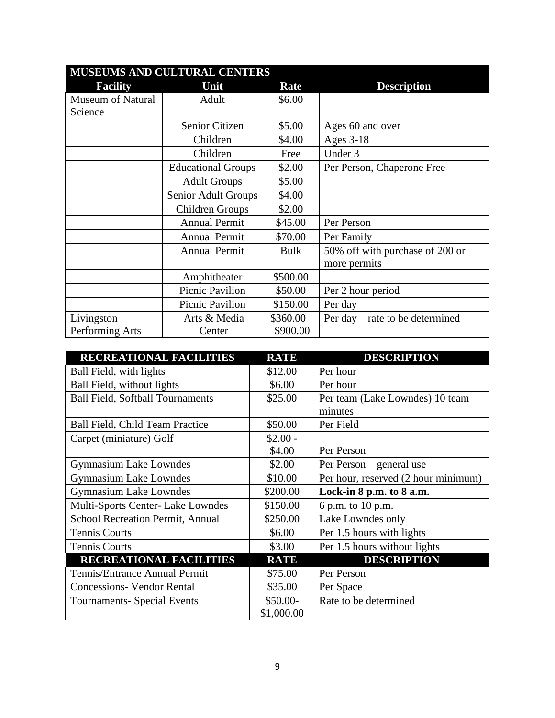|                          | <b>MUSEUMS AND CULTURAL CENTERS</b> |             |                                   |  |  |  |  |
|--------------------------|-------------------------------------|-------------|-----------------------------------|--|--|--|--|
| <b>Facility</b>          | Unit                                | Rate        | <b>Description</b>                |  |  |  |  |
| <b>Museum of Natural</b> | Adult                               | \$6.00      |                                   |  |  |  |  |
| Science                  |                                     |             |                                   |  |  |  |  |
|                          | Senior Citizen                      | \$5.00      | Ages 60 and over                  |  |  |  |  |
|                          | Children                            | \$4.00      | <b>Ages 3-18</b>                  |  |  |  |  |
|                          | Children                            | Free        | Under 3                           |  |  |  |  |
|                          | <b>Educational Groups</b>           | \$2.00      | Per Person, Chaperone Free        |  |  |  |  |
|                          | <b>Adult Groups</b>                 | \$5.00      |                                   |  |  |  |  |
|                          | Senior Adult Groups                 | \$4.00      |                                   |  |  |  |  |
|                          | Children Groups                     | \$2.00      |                                   |  |  |  |  |
|                          | <b>Annual Permit</b>                | \$45.00     | Per Person                        |  |  |  |  |
|                          | <b>Annual Permit</b>                | \$70.00     | Per Family                        |  |  |  |  |
|                          | <b>Annual Permit</b>                | <b>Bulk</b> | 50% off with purchase of 200 or   |  |  |  |  |
|                          |                                     |             | more permits                      |  |  |  |  |
|                          | Amphitheater                        | \$500.00    |                                   |  |  |  |  |
|                          | <b>Picnic Pavilion</b>              | \$50.00     | Per 2 hour period                 |  |  |  |  |
|                          | Picnic Pavilion                     | \$150.00    | Per day                           |  |  |  |  |
| Livingston               | Arts & Media                        | $$360.00-$  | Per day $-$ rate to be determined |  |  |  |  |
| Performing Arts          | Center                              | \$900.00    |                                   |  |  |  |  |

| <b>RECREATIONAL FACILITIES</b>          | <b>RATE</b> | <b>DESCRIPTION</b>                  |
|-----------------------------------------|-------------|-------------------------------------|
| Ball Field, with lights                 | \$12.00     | Per hour                            |
| Ball Field, without lights              | \$6.00      | Per hour                            |
| <b>Ball Field, Softball Tournaments</b> | \$25.00     | Per team (Lake Lowndes) 10 team     |
|                                         |             | minutes                             |
| Ball Field, Child Team Practice         | \$50.00     | Per Field                           |
| Carpet (miniature) Golf                 | $$2.00 -$   |                                     |
|                                         | \$4.00      | Per Person                          |
| <b>Gymnasium Lake Lowndes</b>           | \$2.00      | Per Person – general use            |
| <b>Gymnasium Lake Lowndes</b>           | \$10.00     | Per hour, reserved (2 hour minimum) |
| <b>Gymnasium Lake Lowndes</b>           | \$200.00    | Lock-in 8 p.m. to 8 a.m.            |
| Multi-Sports Center- Lake Lowndes       | \$150.00    | 6 p.m. to 10 p.m.                   |
| School Recreation Permit, Annual        | \$250.00    | Lake Lowndes only                   |
| <b>Tennis Courts</b>                    | \$6.00      | Per 1.5 hours with lights           |
| <b>Tennis Courts</b>                    | \$3.00      | Per 1.5 hours without lights        |
| <b>RECREATIONAL FACILITIES</b>          | <b>RATE</b> | <b>DESCRIPTION</b>                  |
| Tennis/Entrance Annual Permit           | \$75.00     | Per Person                          |
| <b>Concessions- Vendor Rental</b>       | \$35.00     | Per Space                           |
| <b>Tournaments-Special Events</b>       | \$50.00-    | Rate to be determined               |
|                                         | \$1,000.00  |                                     |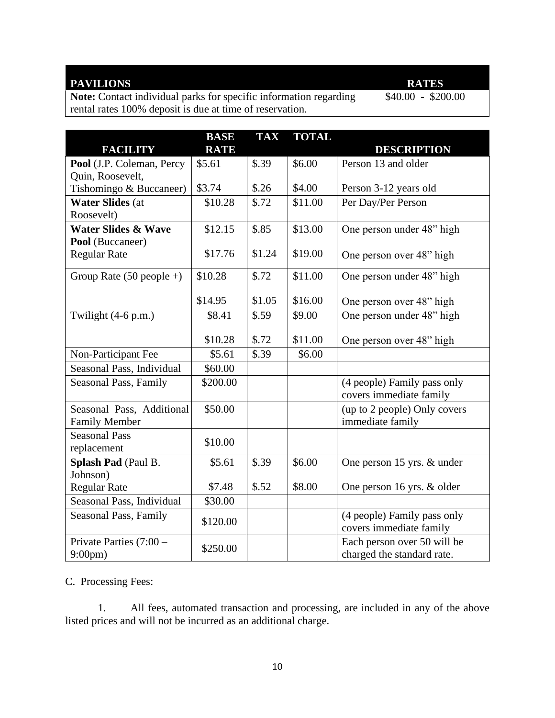# **PAVILIONS RATES**

**Note:** Contact individual parks for specific information regarding rental rates 100% deposit is due at time of reservation.

\$40.00 - \$200.00

| <b>FACILITY</b>                | <b>BASE</b><br><b>RATE</b> | <b>TAX</b> | <b>TOTAL</b> | <b>DESCRIPTION</b>                                     |
|--------------------------------|----------------------------|------------|--------------|--------------------------------------------------------|
| Pool (J.P. Coleman, Percy      | \$5.61                     | \$.39      | \$6.00       | Person 13 and older                                    |
| Quin, Roosevelt,               |                            |            |              |                                                        |
| Tishomingo & Buccaneer)        | \$3.74                     | \$.26      | \$4.00       | Person 3-12 years old                                  |
| <b>Water Slides (at</b>        | \$10.28                    | \$.72      | \$11.00      | Per Day/Per Person                                     |
| Roosevelt)                     |                            |            |              |                                                        |
| <b>Water Slides &amp; Wave</b> | \$12.15                    | \$.85      | \$13.00      | One person under 48" high                              |
| Pool (Buccaneer)               |                            |            |              |                                                        |
| <b>Regular Rate</b>            | \$17.76                    | \$1.24     | \$19.00      | One person over 48" high                               |
| Group Rate $(50$ people +)     | \$10.28                    | \$.72      | \$11.00      | One person under 48" high                              |
|                                | \$14.95                    | \$1.05     | \$16.00      | One person over 48" high                               |
| Twilight $(4-6 p.m.)$          | \$8.41                     | \$.59      | \$9.00       | One person under 48" high                              |
|                                |                            |            |              |                                                        |
|                                | \$10.28                    | \$.72      | \$11.00      | One person over 48" high                               |
| Non-Participant Fee            | \$5.61                     | \$.39      | \$6.00       |                                                        |
| Seasonal Pass, Individual      | \$60.00                    |            |              |                                                        |
| Seasonal Pass, Family          | \$200.00                   |            |              | (4 people) Family pass only                            |
|                                |                            |            |              | covers immediate family                                |
| Seasonal Pass, Additional      | \$50.00                    |            |              | (up to 2 people) Only covers                           |
| <b>Family Member</b>           |                            |            |              | immediate family                                       |
| <b>Seasonal Pass</b>           | \$10.00                    |            |              |                                                        |
| replacement                    |                            |            |              |                                                        |
| Splash Pad (Paul B.            | \$5.61                     | \$.39      | \$6.00       | One person 15 yrs. & under                             |
| Johnson)                       |                            |            |              |                                                        |
| <b>Regular Rate</b>            | \$7.48                     | \$.52      | \$8.00       | One person 16 yrs. & older                             |
| Seasonal Pass, Individual      | \$30.00                    |            |              |                                                        |
| Seasonal Pass, Family          | \$120.00                   |            |              | (4 people) Family pass only<br>covers immediate family |
| Private Parties $(7:00 -$      | \$250.00                   |            |              | Each person over 50 will be                            |
| $9:00 \text{pm}$               |                            |            |              | charged the standard rate.                             |

C. Processing Fees:

1. All fees, automated transaction and processing, are included in any of the above listed prices and will not be incurred as an additional charge.